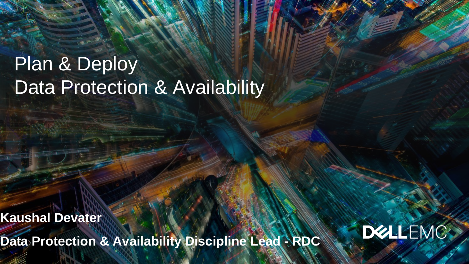## Plan & Deploy Data Protection & Availability

**Kaushal Devater**

**Data Protection & Availability Discipline Lead - RDC**

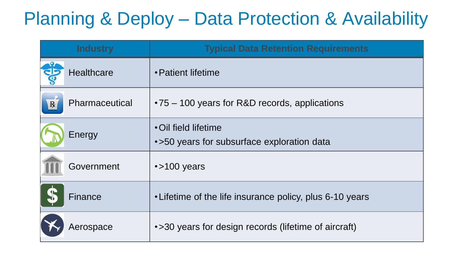### Planning & Deploy – Data Protection & Availability

| <b>Industry</b>           | <b>Typical Data Retention Requirements</b>                         |
|---------------------------|--------------------------------------------------------------------|
| <b>Healthcare</b>         | • Patient lifetime                                                 |
| Pharmaceutical<br>$\bf R$ | $\cdot$ 75 – 100 years for R&D records, applications               |
| Energy                    | • Oil field lifetime<br>•>50 years for subsurface exploration data |
| Government                | $\cdot$ >100 years                                                 |
| Finance                   | • Lifetime of the life insurance policy, plus 6-10 years           |
| Aerospace                 | •>30 years for design records (lifetime of aircraft)               |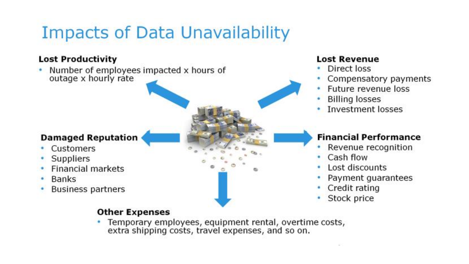# **Impacts of Data Unavailability**

#### **Lost Productivity**

Number of employees impacted x hours of ٠ outage x hourly rate

#### **Damaged Reputation**

- Customers
- Suppliers
- **Financial markets**
- **Banks** ٠
- **Business partners**

#### **Other Expenses**

Temporary employees, equipment rental, overtime costs, extra shipping costs, travel expenses, and so on.

#### **Lost Revenue**

- Direct loss
- Compensatory payments
- Future revenue loss
- **Billing losses**
- Investment losses

#### **Financial Performance**

- Revenue recognition
- Cash flow
- Lost discounts
- Payment guarantees
- Credit rating
- Stock price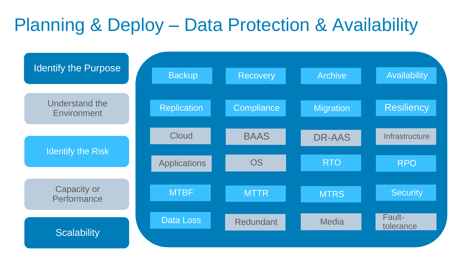### Planning & Deploy – Data Protection & Availability

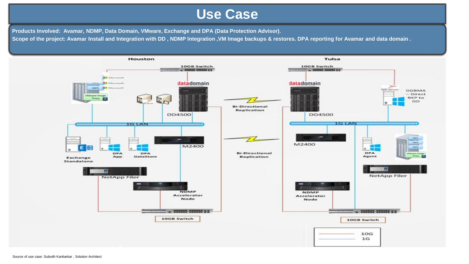#### **Use Case**

**Products Involved: Avamar, NDMP, Data Domain, VMware, Exchange and DPA (Data Protection Advisor).**

**Scope of the project: Avamar Install and Integration with DD , NDMP Integration ,VM Image backups & restores. DPA reporting for Avamar and data domain .**

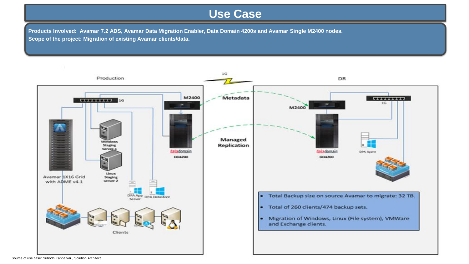#### **Use Case**

**Products Involved: Avamar 7.2 ADS, Avamar Data Migration Enabler, Data Domain 4200s and Avamar Single M2400 nodes. Scope of the project: Migration of existing Avamar clients/data.**



Source of use case: Subodh Kanbarkar , Solution Architect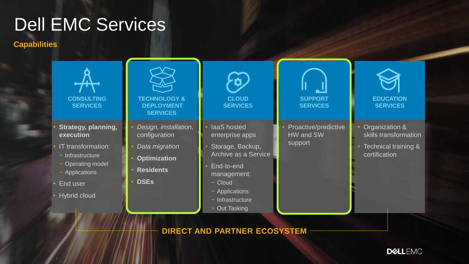### Dell EMC Services

**Capabilities** 

7



**DIRECT AND PARTNER ECOSYSTEM**

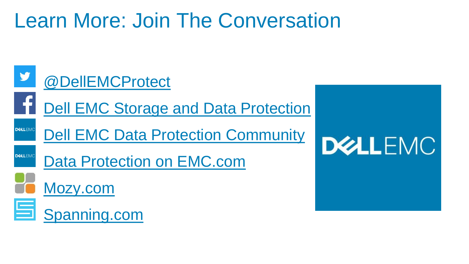# Learn More: Join The Conversation